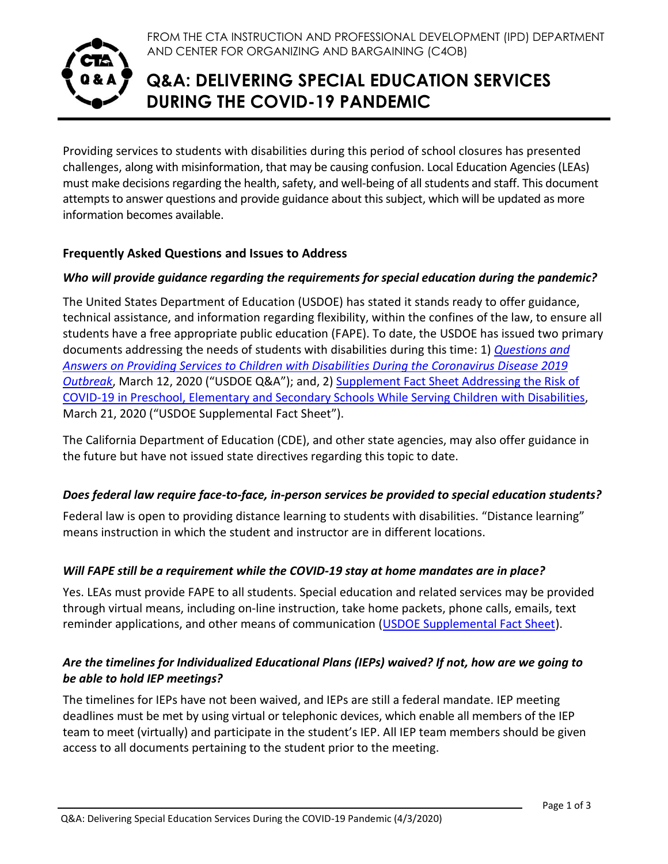

FROM THE CTA INSTRUCTION AND PROFESSIONAL DEVELOPMENT (IPD) DEPARTMENT AND CENTER FOR ORGANIZING AND BARGAINING (C4OB)

# **Q&A: DELIVERING SPECIAL EDUCATION SERVICES DURING THE COVID-19 PANDEMIC**

Providing services to students with disabilities during this period of school closures has presented challenges, along with misinformation, that may be causing confusion. Local Education Agencies (LEAs) must make decisions regarding the health, safety, and well-being of all students and staff. This document attempts to answer questions and provide guidance about this subject, which will be updated as more information becomes available.

#### **Frequently Asked Questions and Issues to Address**

## *Who will provide guidance regarding the requirements for special education during the pandemic?*

The United States Department of Education (USDOE) has stated it stands ready to offer guidance, technical assistance, and information regarding flexibility, within the confines of the law, to ensure all students have a free appropriate public education (FAPE). To date, the USDOE has issued two primary documents addressing the needs of students with disabilities during this time: 1) *[Questions and](https://www2.ed.gov/policy/speced/guid/idea/memosdcltrs/qa-covid-19-03-12-2020.pdf)  [Answers on Providing Services to Children with Disabilities During the Coronavirus Disease 2019](https://www2.ed.gov/policy/speced/guid/idea/memosdcltrs/qa-covid-19-03-12-2020.pdf)  [Outbreak](https://www2.ed.gov/policy/speced/guid/idea/memosdcltrs/qa-covid-19-03-12-2020.pdf)*, March 12, 2020 ("USDOE Q&A"); and, 2) [Supplement Fact Sheet Addressing the Risk of](https://www2.ed.gov/about/offices/list/ocr/frontpage/faq/rr/policyguidance/Supple%20Fact%20Sheet%203.21.20%20FINAL.pdf)  [COVID-19 in Preschool, Elementary and Secondary Schools While Serving Children](https://www2.ed.gov/about/offices/list/ocr/frontpage/faq/rr/policyguidance/Supple%20Fact%20Sheet%203.21.20%20FINAL.pdf) with Disabilities, March 21, 2020 ("USDOE Supplemental Fact Sheet").

The California Department of Education (CDE), and other state agencies, may also offer guidance in the future but have not issued state directives regarding this topic to date.

#### *Does federal law require face-to-face, in-person services be provided to special education students?*

Federal law is open to providing distance learning to students with disabilities. "Distance learning" means instruction in which the student and instructor are in different locations.

#### *Will FAPE still be a requirement while the COVID-19 stay at home mandates are in place?*

Yes. LEAs must provide FAPE to all students. Special education and related services may be provided through virtual means, including on-line instruction, take home packets, phone calls, emails, text reminder applications, and other means of communication [\(USDOE Supplemental Fact Sheet\)](https://www2.ed.gov/about/offices/list/ocr/frontpage/faq/rr/policyguidance/Supple%20Fact%20Sheet%203.21.20%20FINAL.pdf).

## *Are the timelines for Individualized Educational Plans (IEPs) waived? If not, how are we going to be able to hold IEP meetings?*

The timelines for IEPs have not been waived, and IEPs are still a federal mandate. IEP meeting deadlines must be met by using virtual or telephonic devices, which enable all members of the IEP team to meet (virtually) and participate in the student's IEP. All IEP team members should be given access to all documents pertaining to the student prior to the meeting.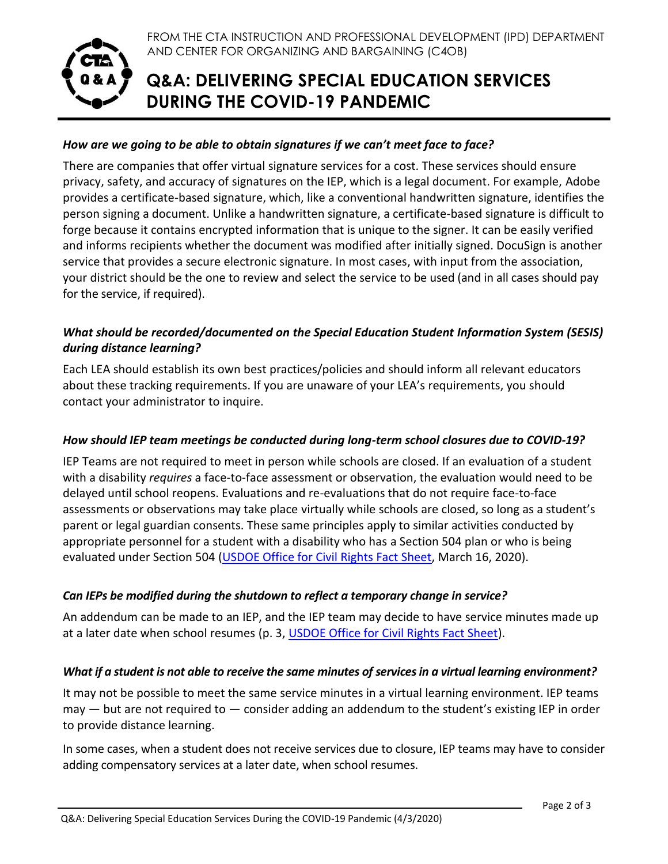

# **Q&A: DELIVERING SPECIAL EDUCATION SERVICES DURING THE COVID-19 PANDEMIC**

## *How are we going to be able to obtain signatures if we can't meet face to face?*

There are companies that offer virtual signature services for a cost. These services should ensure privacy, safety, and accuracy of signatures on the IEP, which is a legal document. For example, Adobe provides a certificate-based signature, which, like a conventional handwritten signature, identifies the person signing a document. Unlike a handwritten signature, a certificate-based signature is difficult to forge because it contains encrypted information that is unique to the signer. It can be easily verified and informs recipients whether the document was modified after initially signed. DocuSign is another service that provides a secure electronic signature. In most cases, with input from the association, your district should be the one to review and select the service to be used (and in all cases should pay for the service, if required).

## *What should be recorded/documented on the Special Education Student Information System (SESIS) during distance learning?*

Each LEA should establish its own best practices/policies and should inform all relevant educators about these tracking requirements. If you are unaware of your LEA's requirements, you should contact your administrator to inquire.

#### *How should IEP team meetings be conducted during long-term school closures due to COVID-19?*

IEP Teams are not required to meet in person while schools are closed. If an evaluation of a student with a disability *requires* a face-to-face assessment or observation, the evaluation would need to be delayed until school reopens. Evaluations and re-evaluations that do not require face-to-face assessments or observations may take place virtually while schools are closed, so long as a student's parent or legal guardian consents. These same principles apply to similar activities conducted by appropriate personnel for a student with a disability who has a Section 504 plan or who is being evaluated under Section 504 [\(USDOE Office for Civil Rights Fact Sheet,](https://www2.ed.gov/about/offices/list/ocr/docs/ocr-coronavirus-fact-sheet.pdf) March 16, 2020).

#### *Can IEPs be modified during the shutdown to reflect a temporary change in service?*

An addendum can be made to an IEP, and the IEP team may decide to have service minutes made up at a later date when school resumes (p. 3, [USDOE Office for Civil Rights Fact Sheet\)](https://www2.ed.gov/about/offices/list/ocr/docs/ocr-coronavirus-fact-sheet.pdf).

#### *What if a student is not able to receive the same minutes of services in a virtual learning environment?*

It may not be possible to meet the same service minutes in a virtual learning environment. IEP teams  $may - but are not required to - consider adding an addendum to the student's existing IEP in order$ to provide distance learning.

In some cases, when a student does not receive services due to closure, IEP teams may have to consider adding compensatory services at a later date, when school resumes.